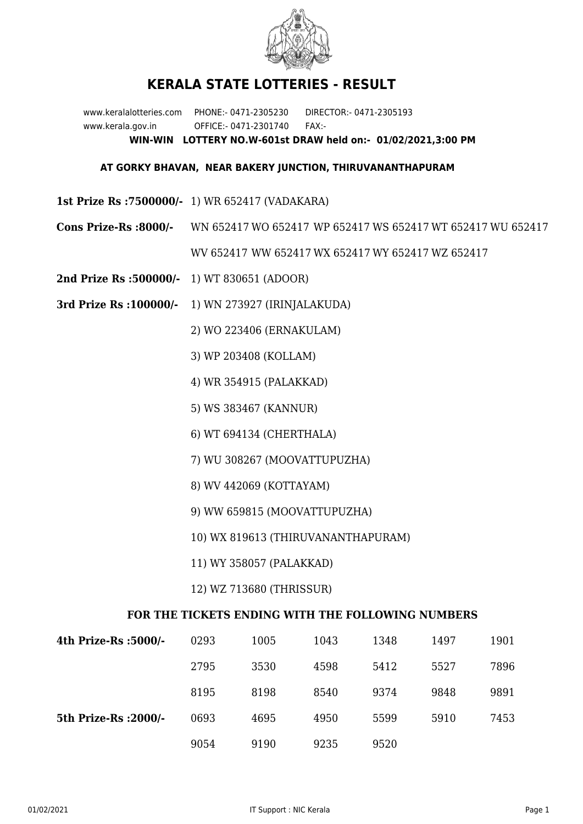

## **KERALA STATE LOTTERIES - RESULT**

www.keralalotteries.com PHONE:- 0471-2305230 DIRECTOR:- 0471-2305193 www.kerala.gov.in OFFICE:- 0471-2301740 FAX:- **WIN-WIN LOTTERY NO.W-601st DRAW held on:- 01/02/2021,3:00 PM**

## **AT GORKY BHAVAN, NEAR BAKERY JUNCTION, THIRUVANANTHAPURAM**

- **1st Prize Rs :7500000/-** 1) WR 652417 (VADAKARA)
- **Cons Prize-Rs :8000/-** WN 652417 WO 652417 WP 652417 WS 652417 WT 652417 WU 652417 WV 652417 WW 652417 WX 652417 WY 652417 WZ 652417
- **2nd Prize Rs :500000/-** 1) WT 830651 (ADOOR)
- **3rd Prize Rs :100000/-** 1) WN 273927 (IRINJALAKUDA)

2) WO 223406 (ERNAKULAM)

- 3) WP 203408 (KOLLAM)
- 4) WR 354915 (PALAKKAD)
- 5) WS 383467 (KANNUR)
- 6) WT 694134 (CHERTHALA)
- 7) WU 308267 (MOOVATTUPUZHA)
- 8) WV 442069 (KOTTAYAM)
- 9) WW 659815 (MOOVATTUPUZHA)
- 10) WX 819613 (THIRUVANANTHAPURAM)
- 11) WY 358057 (PALAKKAD)
- 12) WZ 713680 (THRISSUR)

## **FOR THE TICKETS ENDING WITH THE FOLLOWING NUMBERS**

| 4th Prize-Rs :5000/-  | 0293 | 1005 | 1043 | 1348 | 1497 | 1901 |
|-----------------------|------|------|------|------|------|------|
|                       | 2795 | 3530 | 4598 | 5412 | 5527 | 7896 |
|                       | 8195 | 8198 | 8540 | 9374 | 9848 | 9891 |
| 5th Prize-Rs : 2000/- | 0693 | 4695 | 4950 | 5599 | 5910 | 7453 |
|                       | 9054 | 9190 | 9235 | 9520 |      |      |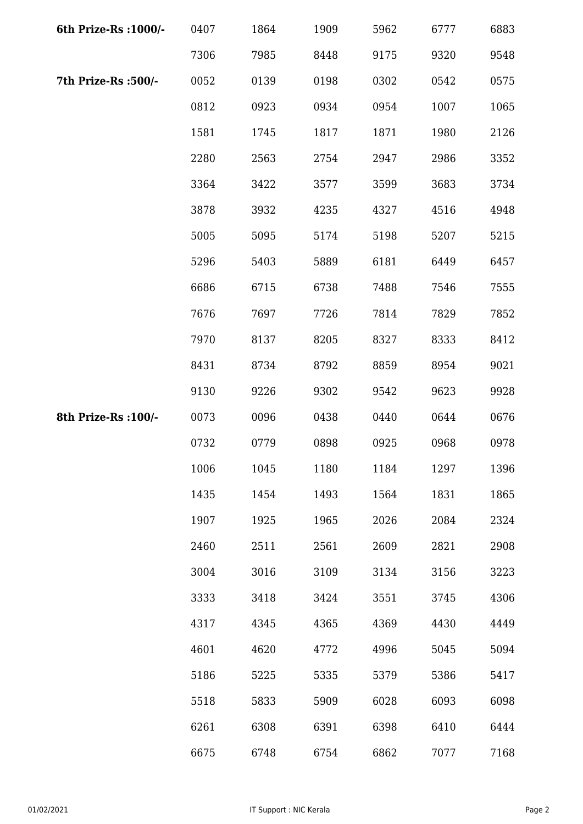| 6th Prize-Rs : 1000/- | 0407 | 1864 | 1909 | 5962 | 6777 | 6883 |
|-----------------------|------|------|------|------|------|------|
|                       | 7306 | 7985 | 8448 | 9175 | 9320 | 9548 |
| 7th Prize-Rs :500/-   | 0052 | 0139 | 0198 | 0302 | 0542 | 0575 |
|                       | 0812 | 0923 | 0934 | 0954 | 1007 | 1065 |
|                       | 1581 | 1745 | 1817 | 1871 | 1980 | 2126 |
|                       | 2280 | 2563 | 2754 | 2947 | 2986 | 3352 |
|                       | 3364 | 3422 | 3577 | 3599 | 3683 | 3734 |
|                       | 3878 | 3932 | 4235 | 4327 | 4516 | 4948 |
|                       | 5005 | 5095 | 5174 | 5198 | 5207 | 5215 |
|                       | 5296 | 5403 | 5889 | 6181 | 6449 | 6457 |
|                       | 6686 | 6715 | 6738 | 7488 | 7546 | 7555 |
|                       | 7676 | 7697 | 7726 | 7814 | 7829 | 7852 |
|                       | 7970 | 8137 | 8205 | 8327 | 8333 | 8412 |
|                       | 8431 | 8734 | 8792 | 8859 | 8954 | 9021 |
|                       | 9130 | 9226 | 9302 | 9542 | 9623 | 9928 |
| 8th Prize-Rs : 100/-  | 0073 | 0096 | 0438 | 0440 | 0644 | 0676 |
|                       | 0732 | 0779 | 0898 | 0925 | 0968 | 0978 |
|                       | 1006 | 1045 | 1180 | 1184 | 1297 | 1396 |
|                       | 1435 | 1454 | 1493 | 1564 | 1831 | 1865 |
|                       | 1907 | 1925 | 1965 | 2026 | 2084 | 2324 |
|                       | 2460 | 2511 | 2561 | 2609 | 2821 | 2908 |
|                       | 3004 | 3016 | 3109 | 3134 | 3156 | 3223 |
|                       | 3333 | 3418 | 3424 | 3551 | 3745 | 4306 |
|                       | 4317 | 4345 | 4365 | 4369 | 4430 | 4449 |
|                       | 4601 | 4620 | 4772 | 4996 | 5045 | 5094 |
|                       | 5186 | 5225 | 5335 | 5379 | 5386 | 5417 |
|                       | 5518 | 5833 | 5909 | 6028 | 6093 | 6098 |
|                       | 6261 | 6308 | 6391 | 6398 | 6410 | 6444 |
|                       | 6675 | 6748 | 6754 | 6862 | 7077 | 7168 |